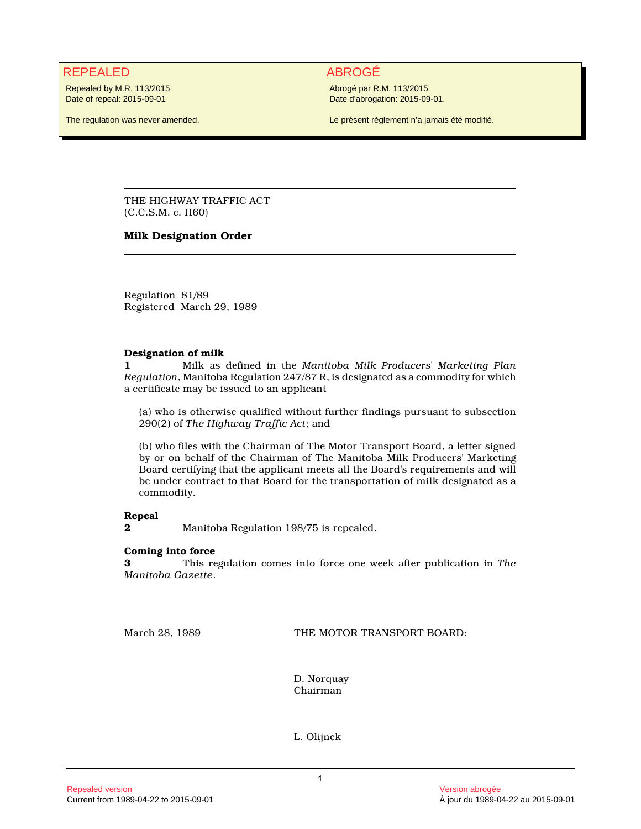# REPEALED ABROGÉ

Repealed by M.R. 113/2015 Date of repeal: 2015-09-01

The regulation was never amended.

Abrogé par R.M. 113/2015 Date d'abrogation: 2015-09-01.

Le présent règlement n'a jamais été modifié.

THE HIGHWAY TRAFFIC ACT (C.C.S.M. c. H60)

## **Milk Designation Order**

Regulation 81/89 Registered March 29, 1989

### **Designation of milk**

**1** Milk as defined in the *Manitoba Milk Producers' Marketing Plan Regulation*, Manitoba Regulation 247/87 R, is designated as a commodity for which a certificate may be issued to an applicant

(a) who is otherwise qualified without further findings pursuant to subsection 290(2) of *The Highway Traffic Act*; and

(b) who files with the Chairman of The Motor Transport Board, a letter signed by or on behalf of the Chairman of The Manitoba Milk Producers' Marketing Board certifying that the applicant meets all the Board's requirements and will be under contract to that Board for the transportation of milk designated as a commodity.

### **Repeal**

**2** Manitoba Regulation 198/75 is repealed.

### **Coming into force**

**3** This regulation comes into force one week after publication in *The Manitoba Gazette*.

March 28, 1989 THE MOTOR TRANSPORT BOARD:

D. Norquay Chairman

L. Olijnek